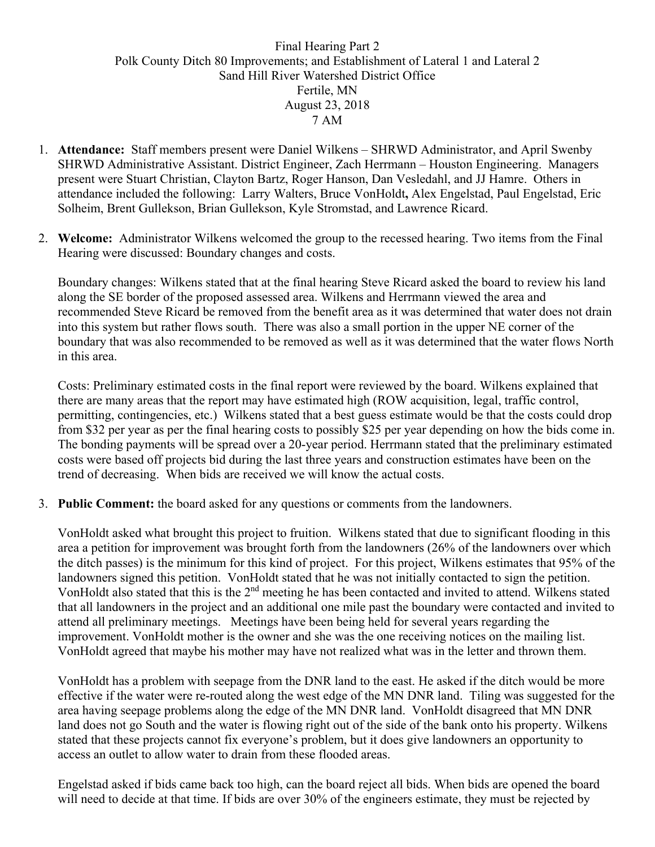## Final Hearing Part 2 Polk County Ditch 80 Improvements; and Establishment of Lateral 1 and Lateral 2 Sand Hill River Watershed District Office Fertile, MN August 23, 2018 7 AM

- 1. **Attendance:** Staff members present were Daniel Wilkens SHRWD Administrator, and April Swenby SHRWD Administrative Assistant. District Engineer, Zach Herrmann – Houston Engineering. Managers present were Stuart Christian, Clayton Bartz, Roger Hanson, Dan Vesledahl, and JJ Hamre. Others in attendance included the following: Larry Walters, Bruce VonHoldt**,** Alex Engelstad, Paul Engelstad, Eric Solheim, Brent Gullekson, Brian Gullekson, Kyle Stromstad, and Lawrence Ricard.
- 2. **Welcome:** Administrator Wilkens welcomed the group to the recessed hearing. Two items from the Final Hearing were discussed: Boundary changes and costs.

Boundary changes: Wilkens stated that at the final hearing Steve Ricard asked the board to review his land along the SE border of the proposed assessed area. Wilkens and Herrmann viewed the area and recommended Steve Ricard be removed from the benefit area as it was determined that water does not drain into this system but rather flows south. There was also a small portion in the upper NE corner of the boundary that was also recommended to be removed as well as it was determined that the water flows North in this area.

Costs: Preliminary estimated costs in the final report were reviewed by the board. Wilkens explained that there are many areas that the report may have estimated high (ROW acquisition, legal, traffic control, permitting, contingencies, etc.) Wilkens stated that a best guess estimate would be that the costs could drop from \$32 per year as per the final hearing costs to possibly \$25 per year depending on how the bids come in. The bonding payments will be spread over a 20-year period. Herrmann stated that the preliminary estimated costs were based off projects bid during the last three years and construction estimates have been on the trend of decreasing. When bids are received we will know the actual costs.

3. **Public Comment:** the board asked for any questions or comments from the landowners.

VonHoldt asked what brought this project to fruition. Wilkens stated that due to significant flooding in this area a petition for improvement was brought forth from the landowners (26% of the landowners over which the ditch passes) is the minimum for this kind of project. For this project, Wilkens estimates that 95% of the landowners signed this petition. VonHoldt stated that he was not initially contacted to sign the petition. VonHoldt also stated that this is the 2nd meeting he has been contacted and invited to attend. Wilkens stated that all landowners in the project and an additional one mile past the boundary were contacted and invited to attend all preliminary meetings. Meetings have been being held for several years regarding the improvement. VonHoldt mother is the owner and she was the one receiving notices on the mailing list. VonHoldt agreed that maybe his mother may have not realized what was in the letter and thrown them.

VonHoldt has a problem with seepage from the DNR land to the east. He asked if the ditch would be more effective if the water were re-routed along the west edge of the MN DNR land. Tiling was suggested for the area having seepage problems along the edge of the MN DNR land. VonHoldt disagreed that MN DNR land does not go South and the water is flowing right out of the side of the bank onto his property. Wilkens stated that these projects cannot fix everyone's problem, but it does give landowners an opportunity to access an outlet to allow water to drain from these flooded areas.

Engelstad asked if bids came back too high, can the board reject all bids. When bids are opened the board will need to decide at that time. If bids are over 30% of the engineers estimate, they must be rejected by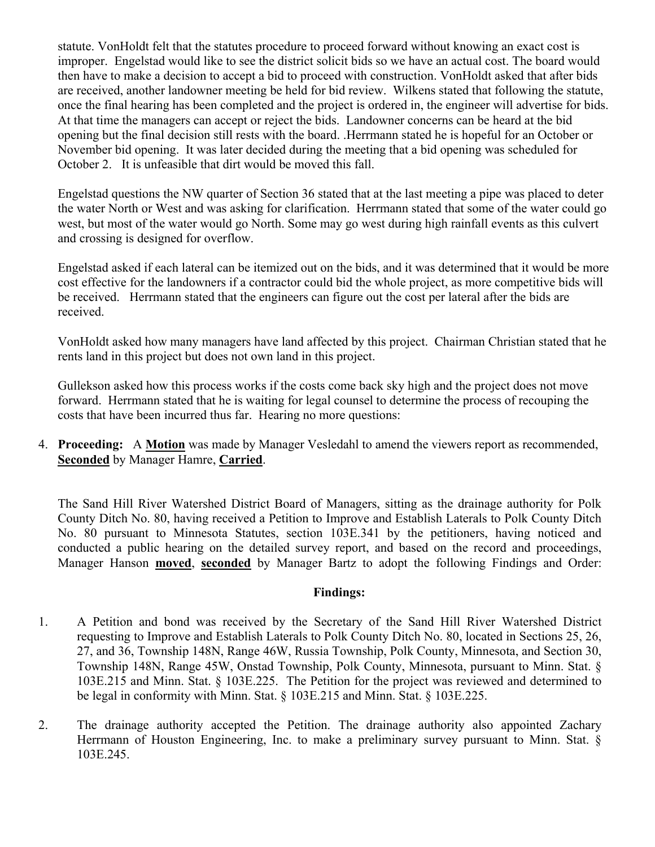statute. VonHoldt felt that the statutes procedure to proceed forward without knowing an exact cost is improper. Engelstad would like to see the district solicit bids so we have an actual cost. The board would then have to make a decision to accept a bid to proceed with construction. VonHoldt asked that after bids are received, another landowner meeting be held for bid review. Wilkens stated that following the statute, once the final hearing has been completed and the project is ordered in, the engineer will advertise for bids. At that time the managers can accept or reject the bids. Landowner concerns can be heard at the bid opening but the final decision still rests with the board. .Herrmann stated he is hopeful for an October or November bid opening. It was later decided during the meeting that a bid opening was scheduled for October 2. It is unfeasible that dirt would be moved this fall.

Engelstad questions the NW quarter of Section 36 stated that at the last meeting a pipe was placed to deter the water North or West and was asking for clarification. Herrmann stated that some of the water could go west, but most of the water would go North. Some may go west during high rainfall events as this culvert and crossing is designed for overflow.

Engelstad asked if each lateral can be itemized out on the bids, and it was determined that it would be more cost effective for the landowners if a contractor could bid the whole project, as more competitive bids will be received. Herrmann stated that the engineers can figure out the cost per lateral after the bids are received.

VonHoldt asked how many managers have land affected by this project. Chairman Christian stated that he rents land in this project but does not own land in this project.

Gullekson asked how this process works if the costs come back sky high and the project does not move forward. Herrmann stated that he is waiting for legal counsel to determine the process of recouping the costs that have been incurred thus far. Hearing no more questions:

4. **Proceeding:** A **Motion** was made by Manager Vesledahl to amend the viewers report as recommended, **Seconded** by Manager Hamre, **Carried**.

The Sand Hill River Watershed District Board of Managers, sitting as the drainage authority for Polk County Ditch No. 80, having received a Petition to Improve and Establish Laterals to Polk County Ditch No. 80 pursuant to Minnesota Statutes, section 103E.341 by the petitioners, having noticed and conducted a public hearing on the detailed survey report, and based on the record and proceedings, Manager Hanson **moved**, **seconded** by Manager Bartz to adopt the following Findings and Order:

## **Findings:**

- 1. A Petition and bond was received by the Secretary of the Sand Hill River Watershed District requesting to Improve and Establish Laterals to Polk County Ditch No. 80, located in Sections 25, 26, 27, and 36, Township 148N, Range 46W, Russia Township, Polk County, Minnesota, and Section 30, Township 148N, Range 45W, Onstad Township, Polk County, Minnesota, pursuant to Minn. Stat. § 103E.215 and Minn. Stat. § 103E.225. The Petition for the project was reviewed and determined to be legal in conformity with Minn. Stat. § 103E.215 and Minn. Stat. § 103E.225.
- 2. The drainage authority accepted the Petition. The drainage authority also appointed Zachary Herrmann of Houston Engineering, Inc. to make a preliminary survey pursuant to Minn. Stat. § 103E.245.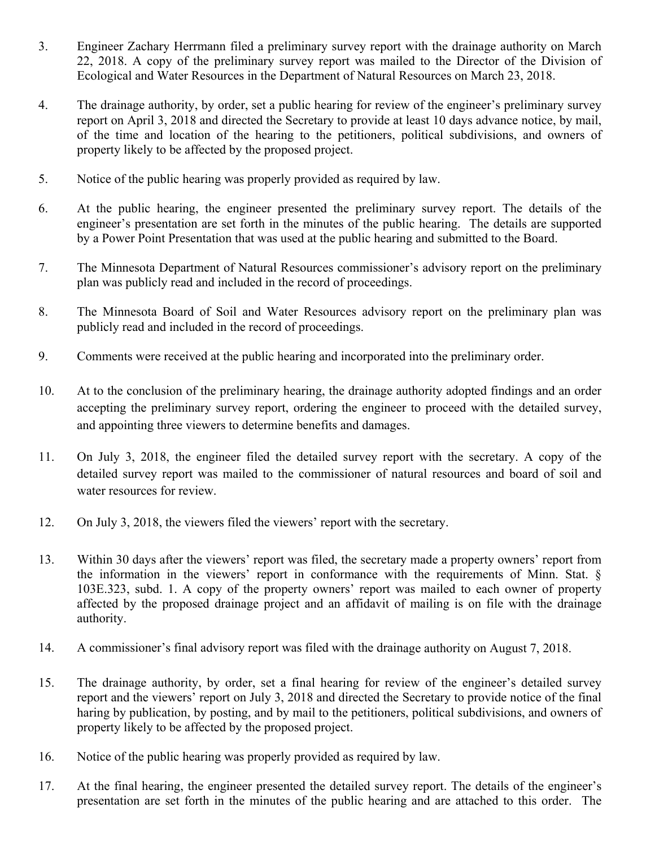- 3. Engineer Zachary Herrmann filed a preliminary survey report with the drainage authority on March 22, 2018. A copy of the preliminary survey report was mailed to the Director of the Division of Ecological and Water Resources in the Department of Natural Resources on March 23, 2018.
- 4. The drainage authority, by order, set a public hearing for review of the engineer's preliminary survey report on April 3, 2018 and directed the Secretary to provide at least 10 days advance notice, by mail, of the time and location of the hearing to the petitioners, political subdivisions, and owners of property likely to be affected by the proposed project.
- 5. Notice of the public hearing was properly provided as required by law.
- 6. At the public hearing, the engineer presented the preliminary survey report. The details of the engineer's presentation are set forth in the minutes of the public hearing. The details are supported by a Power Point Presentation that was used at the public hearing and submitted to the Board.
- 7. The Minnesota Department of Natural Resources commissioner's advisory report on the preliminary plan was publicly read and included in the record of proceedings.
- 8. The Minnesota Board of Soil and Water Resources advisory report on the preliminary plan was publicly read and included in the record of proceedings.
- 9. Comments were received at the public hearing and incorporated into the preliminary order.
- 10. At to the conclusion of the preliminary hearing, the drainage authority adopted findings and an order accepting the preliminary survey report, ordering the engineer to proceed with the detailed survey, and appointing three viewers to determine benefits and damages.
- 11. On July 3, 2018, the engineer filed the detailed survey report with the secretary. A copy of the detailed survey report was mailed to the commissioner of natural resources and board of soil and water resources for review.
- 12. On July 3, 2018, the viewers filed the viewers' report with the secretary.
- 13. Within 30 days after the viewers' report was filed, the secretary made a property owners' report from the information in the viewers' report in conformance with the requirements of Minn. Stat. § 103E.323, subd. 1. A copy of the property owners' report was mailed to each owner of property affected by the proposed drainage project and an affidavit of mailing is on file with the drainage authority.
- 14. A commissioner's final advisory report was filed with the drainage authority on August 7, 2018.
- 15. The drainage authority, by order, set a final hearing for review of the engineer's detailed survey report and the viewers' report on July 3, 2018 and directed the Secretary to provide notice of the final haring by publication, by posting, and by mail to the petitioners, political subdivisions, and owners of property likely to be affected by the proposed project.
- 16. Notice of the public hearing was properly provided as required by law.
- 17. At the final hearing, the engineer presented the detailed survey report. The details of the engineer's presentation are set forth in the minutes of the public hearing and are attached to this order. The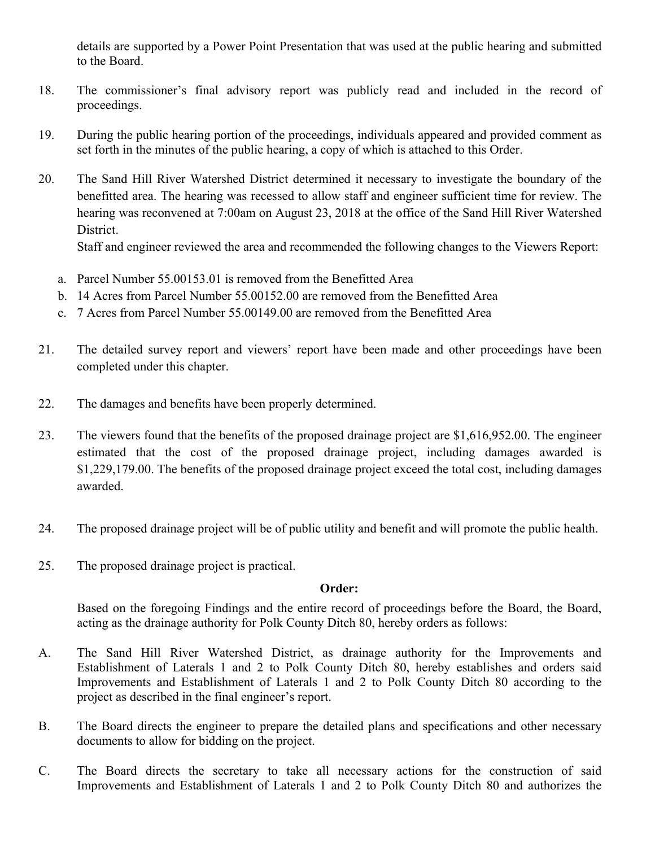details are supported by a Power Point Presentation that was used at the public hearing and submitted to the Board.

- 18. The commissioner's final advisory report was publicly read and included in the record of proceedings.
- 19. During the public hearing portion of the proceedings, individuals appeared and provided comment as set forth in the minutes of the public hearing, a copy of which is attached to this Order.
- 20. The Sand Hill River Watershed District determined it necessary to investigate the boundary of the benefitted area. The hearing was recessed to allow staff and engineer sufficient time for review. The hearing was reconvened at 7:00am on August 23, 2018 at the office of the Sand Hill River Watershed District.

Staff and engineer reviewed the area and recommended the following changes to the Viewers Report:

- a. Parcel Number 55.00153.01 is removed from the Benefitted Area
- b. 14 Acres from Parcel Number 55.00152.00 are removed from the Benefitted Area
- c. 7 Acres from Parcel Number 55.00149.00 are removed from the Benefitted Area
- 21. The detailed survey report and viewers' report have been made and other proceedings have been completed under this chapter.
- 22. The damages and benefits have been properly determined.
- 23. The viewers found that the benefits of the proposed drainage project are \$1,616,952.00. The engineer estimated that the cost of the proposed drainage project, including damages awarded is \$1,229,179.00. The benefits of the proposed drainage project exceed the total cost, including damages awarded.
- 24. The proposed drainage project will be of public utility and benefit and will promote the public health.
- 25. The proposed drainage project is practical.

## **Order:**

Based on the foregoing Findings and the entire record of proceedings before the Board, the Board, acting as the drainage authority for Polk County Ditch 80, hereby orders as follows:

- A. The Sand Hill River Watershed District, as drainage authority for the Improvements and Establishment of Laterals 1 and 2 to Polk County Ditch 80, hereby establishes and orders said Improvements and Establishment of Laterals 1 and 2 to Polk County Ditch 80 according to the project as described in the final engineer's report.
- B. The Board directs the engineer to prepare the detailed plans and specifications and other necessary documents to allow for bidding on the project.
- C. The Board directs the secretary to take all necessary actions for the construction of said Improvements and Establishment of Laterals 1 and 2 to Polk County Ditch 80 and authorizes the